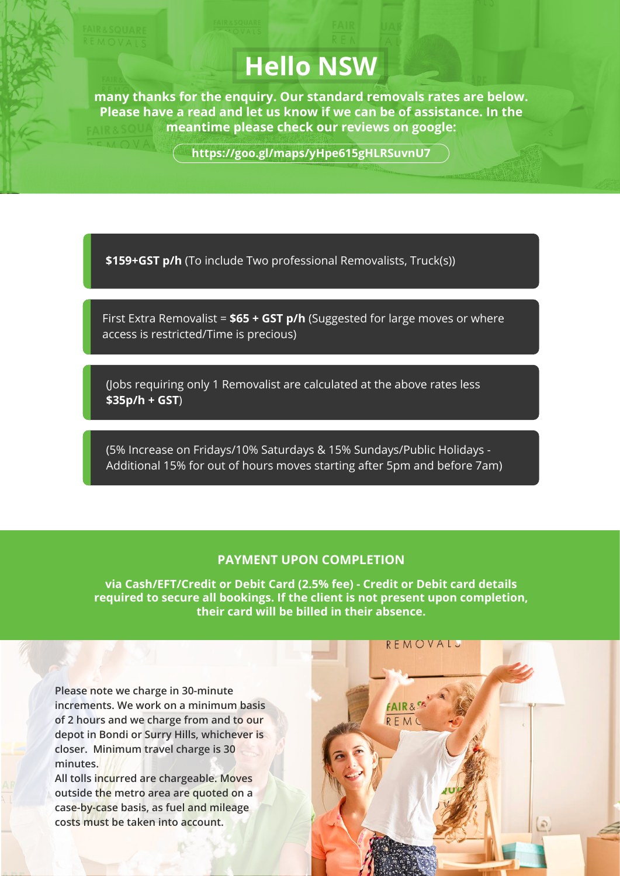## **Hello NSW**

**many thanks for the enquiry. Our standard removals rates are below. Please have a read and let us know if we can be of assistance. In the meantime please check our reviews on google:** 

**https://goo.gl/maps/yHpe615gHLRSuvnU7**

**\$159+GST p/h** (To include Two professional Removalists, Truck(s))

First Extra Removalist = **\$65 + GST p/h** (Suggested for large moves or where access is restricted/Time is precious)

(Jobs requiring only 1 Removalist are calculated at the above rates less **\$35p/h + GST**)

(5% Increase on Fridays/10% Saturdays & 15% Sundays/Public Holidays - Additional 15% for out of hours moves starting after 5pm and before 7am)

## **PAYMENT UPON COMPLETION**

**via Cash/EFT/Credit or Debit Card (2.5% fee) - Credit or Debit card details required to secure all bookings. If the client is not present upon completion, their card will be billed in their absence.**

**Please note we charge in 30-minute increments. We work on a minimum basis of 2 hours and we charge from and to our depot in Bondi or Surry Hills, whichever is closer. Minimum travel charge is 30 minutes.**

**All tolls incurred are chargeable. Moves outside the metro area are quoted on a case-by-case basis, as fuel and mileage costs must be taken into account.**